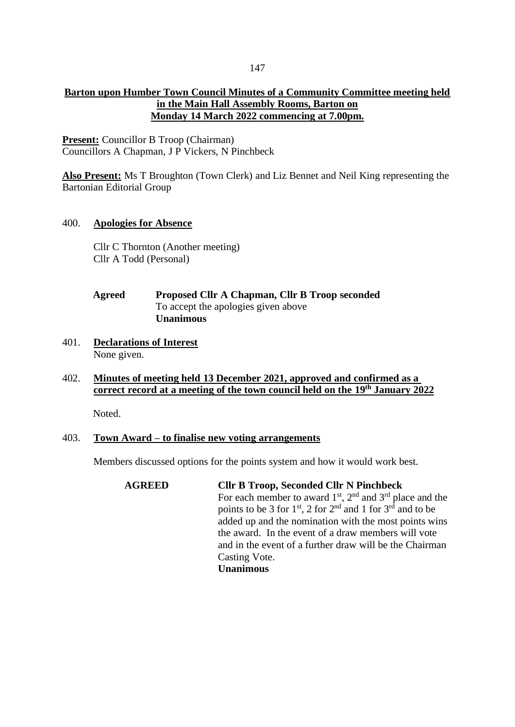## **Barton upon Humber Town Council Minutes of a Community Committee meeting held in the Main Hall Assembly Rooms, Barton on Monday 14 March 2022 commencing at 7.00pm.**

**Present:** Councillor B Troop (Chairman) Councillors A Chapman, J P Vickers, N Pinchbeck

**Also Present:** Ms T Broughton (Town Clerk) and Liz Bennet and Neil King representing the Bartonian Editorial Group

### 400. **Apologies for Absence**

Cllr C Thornton (Another meeting) Cllr A Todd (Personal)

# **Agreed Proposed Cllr A Chapman, Cllr B Troop seconded** To accept the apologies given above **Unanimous**

401. **Declarations of Interest** None given.

# 402. **Minutes of meeting held 13 December 2021, approved and confirmed as a correct record at a meeting of the town council held on the 19th January 2022**

Noted.

## 403. **Town Award – to finalise new voting arrangements**

Members discussed options for the points system and how it would work best.

**AGREED Cllr B Troop, Seconded Cllr N Pinchbeck** For each member to award  $1<sup>st</sup>$ ,  $2<sup>nd</sup>$  and  $3<sup>rd</sup>$  place and the points to be 3 for  $1^{st}$ , 2 for  $2^{nd}$  and 1 for  $3^{rd}$  and to be added up and the nomination with the most points wins the award. In the event of a draw members will vote and in the event of a further draw will be the Chairman Casting Vote. **Unanimous**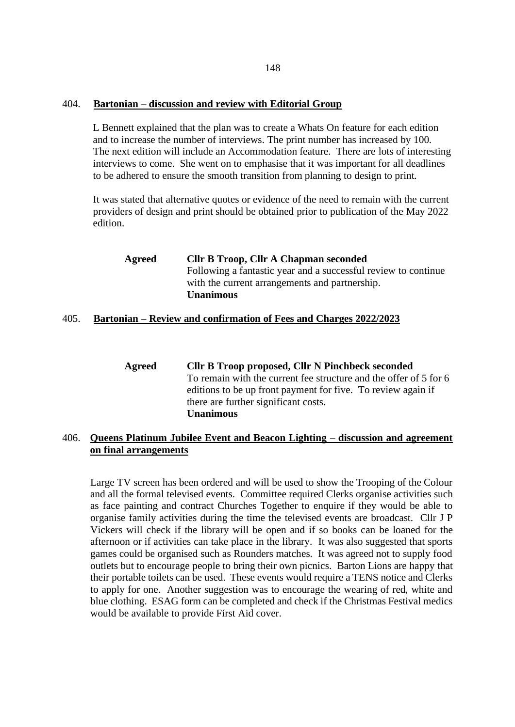### 404. **Bartonian – discussion and review with Editorial Group**

L Bennett explained that the plan was to create a Whats On feature for each edition and to increase the number of interviews. The print number has increased by 100. The next edition will include an Accommodation feature. There are lots of interesting interviews to come. She went on to emphasise that it was important for all deadlines to be adhered to ensure the smooth transition from planning to design to print.

It was stated that alternative quotes or evidence of the need to remain with the current providers of design and print should be obtained prior to publication of the May 2022 edition.

| <b>Agreed</b> | <b>Cllr B Troop, Cllr A Chapman seconded</b>                   |
|---------------|----------------------------------------------------------------|
|               | Following a fantastic year and a successful review to continue |
|               | with the current arrangements and partnership.                 |
|               | <b>Unanimous</b>                                               |

## 405. **Bartonian – Review and confirmation of Fees and Charges 2022/2023**

**Agreed Cllr B Troop proposed, Cllr N Pinchbeck seconded** To remain with the current fee structure and the offer of 5 for 6 editions to be up front payment for five. To review again if there are further significant costs. **Unanimous** 

## 406. **Queens Platinum Jubilee Event and Beacon Lighting – discussion and agreement on final arrangements**

Large TV screen has been ordered and will be used to show the Trooping of the Colour and all the formal televised events. Committee required Clerks organise activities such as face painting and contract Churches Together to enquire if they would be able to organise family activities during the time the televised events are broadcast. Cllr J P Vickers will check if the library will be open and if so books can be loaned for the afternoon or if activities can take place in the library. It was also suggested that sports games could be organised such as Rounders matches. It was agreed not to supply food outlets but to encourage people to bring their own picnics. Barton Lions are happy that their portable toilets can be used. These events would require a TENS notice and Clerks to apply for one. Another suggestion was to encourage the wearing of red, white and blue clothing. ESAG form can be completed and check if the Christmas Festival medics would be available to provide First Aid cover.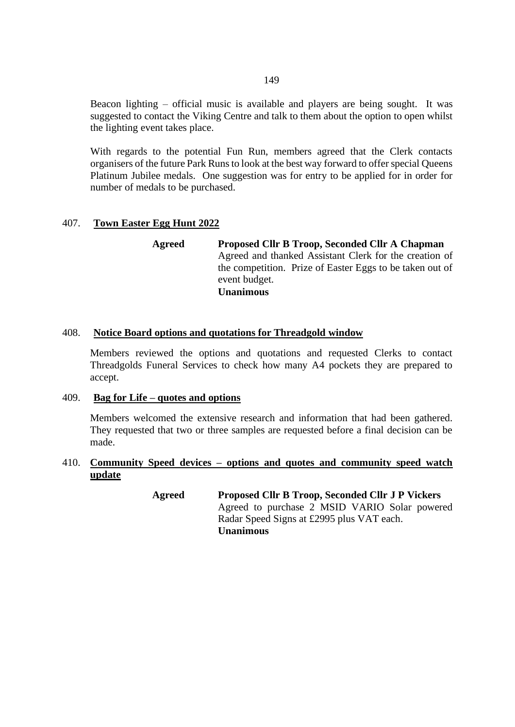Beacon lighting – official music is available and players are being sought. It was suggested to contact the Viking Centre and talk to them about the option to open whilst the lighting event takes place.

With regards to the potential Fun Run, members agreed that the Clerk contacts organisers of the future Park Runs to look at the best way forward to offer special Queens Platinum Jubilee medals. One suggestion was for entry to be applied for in order for number of medals to be purchased.

### 407. **Town Easter Egg Hunt 2022**

**Agreed Proposed Cllr B Troop, Seconded Cllr A Chapman** Agreed and thanked Assistant Clerk for the creation of the competition. Prize of Easter Eggs to be taken out of event budget. **Unanimous**

### 408. **Notice Board options and quotations for Threadgold window**

Members reviewed the options and quotations and requested Clerks to contact Threadgolds Funeral Services to check how many A4 pockets they are prepared to accept.

#### 409. **Bag for Life – quotes and options**

Members welcomed the extensive research and information that had been gathered. They requested that two or three samples are requested before a final decision can be made.

## 410. **Community Speed devices – options and quotes and community speed watch update**

**Agreed Proposed Cllr B Troop, Seconded Cllr J P Vickers** Agreed to purchase 2 MSID VARIO Solar powered Radar Speed Signs at £2995 plus VAT each. **Unanimous**